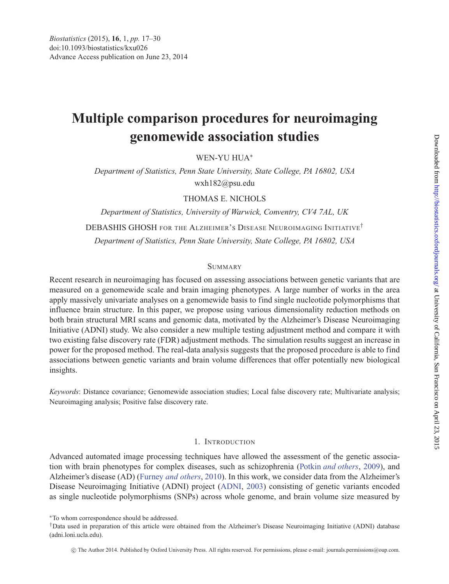# **Multiple comparison procedures for neuroimaging genomewide association studies**

WEN-YU HUA<sup>\*</sup>

*Department of Statistics, Penn State University, State College, PA 16802, USA* wxh182@psu.edu

THOMAS E. NICHOLS

*Department of Statistics, University of Warwick, Conventry, CV4 7AL, UK*

DEBASHIS GHOSH FOR THE ALZHEIMER'S DISEASE NEUROIMAGING INITIATIVE† *Department of Statistics, Penn State University, State College, PA 16802, USA*

#### **SUMMARY**

Recent research in neuroimaging has focused on assessing associations between genetic variants that are measured on a genomewide scale and brain imaging phenotypes. A large number of works in the area apply massively univariate analyses on a genomewide basis to find single nucleotide polymorphisms that influence brain structure. In this paper, we propose using various dimensionality reduction methods on both brain structural MRI scans and genomic data, motivated by the Alzheimer's Disease Neuroimaging Initiative (ADNI) study. We also consider a new multiple testing adjustment method and compare it with two existing false discovery rate (FDR) adjustment methods. The simulation results suggest an increase in power for the proposed method. The real-data analysis suggests that the proposed procedure is able to find associations between genetic variants and brain volume differences that offer potentially new biological insights.

*Keywords*: Distance covariance; Genomewide association studies; Local false discovery rate; Multivariate analysis; Neuroimaging analysis; Positive false discovery rate.

#### 1. INTRODUCTION

Advanced automated image processing techniques have allowed the assessment of the genetic association with brain phenotypes for complex diseases, such as schizophrenia (Potkin *[and others](#page-13-0)*, [2009\)](#page-13-0), and Alzheimer's disease (AD) (Furney *[and others](#page-12-0)*, [2010\)](#page-12-0). In this work, we consider data from the Alzheimer's Disease Neuroimaging Initiative (ADNI) project [\(ADNI](#page-12-1), [2003](#page-12-1)) consisting of genetic variants encoded as single nucleotide polymorphisms (SNPs) across whole genome, and brain volume size measured by

<sup>∗</sup>To whom correspondence should be addressed.

<sup>†</sup>Data used in preparation of this article were obtained from the Alzheimer's Disease Neuroimaging Initiative (ADNI) database (adni.loni.ucla.edu).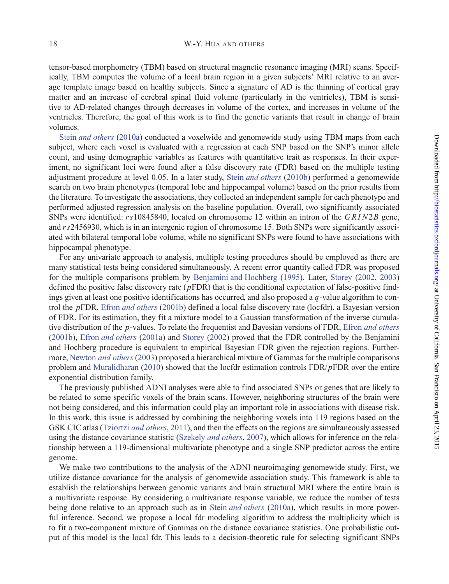tensor-based morphometry (TBM) based on structural magnetic resonance imaging (MRI) scans. Specifically, TBM computes the volume of a local brain region in a given subjects' MRI relative to an average template image based on healthy subjects. Since a signature of AD is the thinning of cortical gray matter and an increase of cerebral spinal fluid volume (particularly in the ventricles), TBM is sensitive to AD-related changes through decreases in volume of the cortex, and increases in volume of the ventricles. Therefore, the goal of this work is to find the genetic variants that result in change of brain volumes.

Stein *[and others](#page-13-1)* [\(2010a\)](#page-13-1) conducted a voxelwide and genomewide study using TBM maps from each subject, where each voxel is evaluated with a regression at each SNP based on the SNP's minor allele count, and using demographic variables as features with quantitative trait as responses. In their experiment, no significant loci were found after a false discovery rate (FDR) based on the multiple testing adjustment procedure at level 0.05. In a later study, Stein *[and others](#page-13-2)* [\(2010b](#page-13-2)) performed a genomewide search on two brain phenotypes (temporal lobe and hippocampal volume) based on the prior results from the literature. To investigate the associations, they collected an independent sample for each phenotype and performed adjusted regression analysis on the baseline population. Overall, two significantly associated SNPs were identified: *r s*10845840, located on chromosome 12 within an intron of the *GRIN*2*B* gene, and *r s*2456930, which is in an intergenic region of chromosome 15. Both SNPs were significantly associated with bilateral temporal lobe volume, while no significant SNPs were found to have associations with hippocampal phenotype.

For any univariate approach to analysis, multiple testing procedures should be employed as there are many statistical tests being considered simultaneously. A recent error quantity called FDR was proposed for the multiple comparisons problem by [Benjamini and Hochberg](#page-12-2) [\(1995](#page-12-2)). Later, [Storey](#page-13-3) [\(2002](#page-13-3), [2003\)](#page-13-4) defined the positive false discovery rate (*p*FDR) that is the conditional expectation of false-positive findings given at least one positive identifications has occurred, and also proposed a *q*-value algorithm to control the *p*FDR. Efron *[and others](#page-12-3)* [\(2001b\)](#page-12-3) defined a local false discovery rate (locfdr), a Bayesian version of FDR. For its estimation, they fit a mixture model to a Gaussian transformation of the inverse cumulative distribution of the *p*-values. To relate the frequentist and Bayesian versions of FDR, Efron *[and others](#page-12-3)* [\(2001b\)](#page-12-3), Efron *[and others](#page-12-4)* [\(2001a\)](#page-12-4) and [Storey](#page-13-3) [\(2002](#page-13-3)) proved that the FDR controlled by the Benjamini and Hochberg procedure is equivalent to empirical Bayesian FDR given the rejection regions. Furthermore, Newton *[and others](#page-13-5)*[\(2003](#page-13-5)) proposed a hierarchical mixture of Gammas for the multiple comparisons problem and [Muralidharan](#page-13-6) [\(2010\)](#page-13-6) showed that the locfdr estimation controls FDR/*p*FDR over the entire exponential distribution family.

The previously published ADNI analyses were able to find associated SNPs or genes that are likely to be related to some specific voxels of the brain scans. However, neighboring structures of the brain were not being considered, and this information could play an important role in associations with disease risk. In this work, this issue is addressed by combining the neighboring voxels into 119 regions based on the GSK CIC atlas (Tziortzi *[and others](#page-13-7)*, [2011\)](#page-13-7), and then the effects on the regions are simultaneously assessed using the distance covariance statistic (Szekely *[and others](#page-13-8)*, [2007\)](#page-13-8), which allows for inference on the relationship between a 119-dimensional multivariate phenotype and a single SNP predictor across the entire genome.

We make two contributions to the analysis of the ADNI neuroimaging genomewide study. First, we utilize distance covariance for the analysis of genomewide association study. This framework is able to establish the relationships between genomic variants and brain structural MRI where the entire brain is a multivariate response. By considering a multivariate response variable, we reduce the number of tests being done relative to an approach such as in Stein *[and others](#page-13-1)* [\(2010a](#page-13-1)), which results in more powerful inference. Second, we propose a local fdr modeling algorithm to address the multiplicity which is to fit a two-component mixture of Gammas on the distance covariance statistics. One probabilistic output of this model is the local fdr. This leads to a decision-theoretic rule for selecting significant SNPs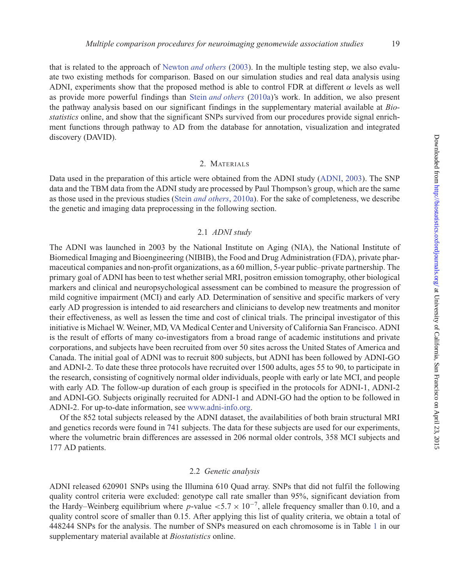that is related to the approach of Newton *[and others](#page-13-5)* [\(2003](#page-13-5)). In the multiple testing step, we also evaluate two existing methods for comparison. Based on our simulation studies and real data analysis using ADNI, experiments show that the proposed method is able to control FDR at different  $\alpha$  levels as well as provide more powerful findings than Stein *[and others](#page-13-1)* [\(2010a](#page-13-1))'s work. In addition, we also present the pathway analysis based on our significant findings in the supplementary material available at *Biostatistics* online, and show that the significant SNPs survived from our procedures provide signal enrichment functions through pathway to AD from the database for annotation, visualization and integrated discovery (DAVID).

# 2. MATERIALS

Data used in the preparation of this article were obtained from the ADNI study [\(ADNI](#page-12-1), [2003](#page-12-1)). The SNP data and the TBM data from the ADNI study are processed by Paul Thompson's group, which are the same as those used in the previous studies (Stein *[and others](#page-13-1)*, [2010a\)](#page-13-1). For the sake of completeness, we describe the genetic and imaging data preprocessing in the following section.

# 2.1 *ADNI study*

The ADNI was launched in 2003 by the National Institute on Aging (NIA), the National Institute of Biomedical Imaging and Bioengineering (NIBIB), the Food and Drug Administration (FDA), private pharmaceutical companies and non-profit organizations, as a 60 million, 5-year public–private partnership. The primary goal of ADNI has been to test whether serial MRI, positron emission tomography, other biological markers and clinical and neuropsychological assessment can be combined to measure the progression of mild cognitive impairment (MCI) and early AD. Determination of sensitive and specific markers of very early AD progression is intended to aid researchers and clinicians to develop new treatments and monitor their effectiveness, as well as lessen the time and cost of clinical trials. The principal investigator of this initiative is Michael W. Weiner, MD, VA Medical Center and University of California San Francisco. ADNI is the result of efforts of many co-investigators from a broad range of academic institutions and private corporations, and subjects have been recruited from over 50 sites across the United States of America and Canada. The initial goal of ADNI was to recruit 800 subjects, but ADNI has been followed by ADNI-GO and ADNI-2. To date these three protocols have recruited over 1500 adults, ages 55 to 90, to participate in the research, consisting of cognitively normal older individuals, people with early or late MCI, and people with early AD. The follow-up duration of each group is specified in the protocols for ADNI-1, ADNI-2 and ADNI-GO. Subjects originally recruited for ADNI-1 and ADNI-GO had the option to be followed in ADNI-2. For up-to-date information, see [www.adni-info.org.](http://www.adni-info.org)

Of the 852 total subjects released by the ADNI dataset, the availabilities of both brain structural MRI and genetics records were found in 741 subjects. The data for these subjects are used for our experiments, where the volumetric brain differences are assessed in 206 normal older controls, 358 MCI subjects and 177 AD patients.

## 2.2 *Genetic analysis*

ADNI released 620901 SNPs using the Illumina 610 Quad array. SNPs that did not fulfil the following quality control criteria were excluded: genotype call rate smaller than 95%, significant deviation from the Hardy–Weinberg equilibrium where *p*-value <5.7 × 10<sup>−</sup>7, allele frequency smaller than 0.10, and a quality control score of smaller than 0.15. After applying this list of quality criteria, we obtain a total of 448244 SNPs for the analysis. The number of SNPs measured on each chromosome is in Table [1](#page-3-0) in our supplementary material available at *Biostatistics* online.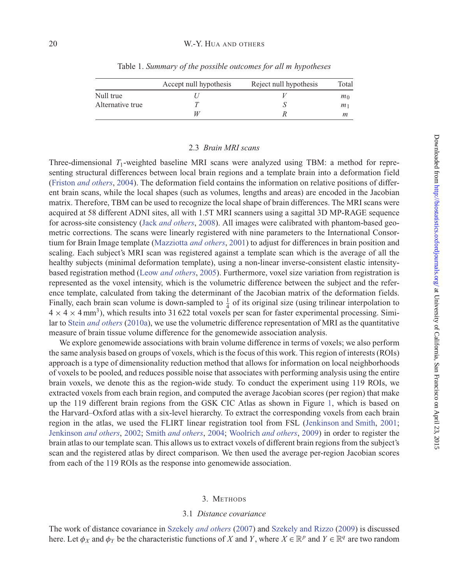<span id="page-3-0"></span>

|                  | Accept null hypothesis | Reject null hypothesis | Total          |
|------------------|------------------------|------------------------|----------------|
| Null true        |                        |                        | m <sub>0</sub> |
| Alternative true |                        |                        | m <sub>1</sub> |
|                  | W                      |                        | m              |

Table 1. *Summary of the possible outcomes for all m hypotheses*

#### 2.3 *Brain MRI scans*

Three-dimensional *T*1-weighted baseline MRI scans were analyzed using TBM: a method for representing structural differences between local brain regions and a template brain into a deformation field (Friston *[and others](#page-12-5)*, [2004](#page-12-5)). The deformation field contains the information on relative positions of different brain scans, while the local shapes (such as volumes, lengths and areas) are encoded in the Jacobian matrix. Therefore, TBM can be used to recognize the local shape of brain differences. The MRI scans were acquired at 58 different ADNI sites, all with 1.5T MRI scanners using a sagittal 3D MP-RAGE sequence for across-site consistency (Jack *[and others](#page-12-6)*, [2008](#page-12-6)). All images were calibrated with phantom-based geometric corrections. The scans were linearly registered with nine parameters to the International Consortium for Brain Image template (Mazziotta *[and others](#page-12-7)*, [2001\)](#page-12-7) to adjust for differences in brain position and scaling. Each subject's MRI scan was registered against a template scan which is the average of all the healthy subjects (minimal deformation template), using a non-linear inverse-consistent elastic intensitybased registration method (Leow *[and others](#page-12-8)*, [2005](#page-12-8)). Furthermore, voxel size variation from registration is represented as the voxel intensity, which is the volumetric difference between the subject and the reference template, calculated from taking the determinant of the Jacobian matrix of the deformation fields. Finally, each brain scan volume is down-sampled to  $\frac{1}{4}$  of its original size (using trilinear interpolation to  $4 \times 4 \times 4$  mm<sup>3</sup>), which results into 31 622 total voxels per scan for faster experimental processing. Similar to Stein *[and others](#page-13-1)* [\(2010a](#page-13-1)), we use the volumetric difference representation of MRI as the quantitative measure of brain tissue volume difference for the genomewide association analysis.

We explore genomewide associations with brain volume difference in terms of voxels; we also perform the same analysis based on groups of voxels, which is the focus of this work. This region of interests (ROIs) approach is a type of dimensionality reduction method that allows for information on local neighborhoods of voxels to be pooled, and reduces possible noise that associates with performing analysis using the entire brain voxels, we denote this as the region-wide study. To conduct the experiment using 119 ROIs, we extracted voxels from each brain region, and computed the average Jacobian scores (per region) that make up the 119 different brain regions from the GSK CIC Atlas as shown in Figure [1,](#page-4-0) which is based on the Harvard–Oxford atlas with a six-level hierarchy. To extract the corresponding voxels from each brain region in the atlas, we used the FLIRT linear registration tool from FSL [\(Jenkinson and Smith,](#page-12-9) [2001](#page-12-9); Jenkinson *[and others](#page-12-10)*, [2002](#page-12-10); Smith *[and others](#page-13-9)*, [2004;](#page-13-9) Woolrich *[and others](#page-13-10)*, [2009](#page-13-10)) in order to register the brain atlas to our template scan. This allows us to extract voxels of different brain regions from the subject's scan and the registered atlas by direct comparison. We then used the average per-region Jacobian scores from each of the 119 ROIs as the response into genomewide association.

## 3. METHODS

#### 3.1 *Distance covariance*

The work of distance covariance in Szekely *[and others](#page-13-8)* [\(2007\)](#page-13-8) and [Szekely and Rizzo](#page-13-11) [\(2009\)](#page-13-11) is discussed here. Let  $\phi_X$  and  $\phi_Y$  be the characteristic functions of *X* and *Y*, where  $X \in \mathbb{R}^p$  and  $Y \in \mathbb{R}^q$  are two random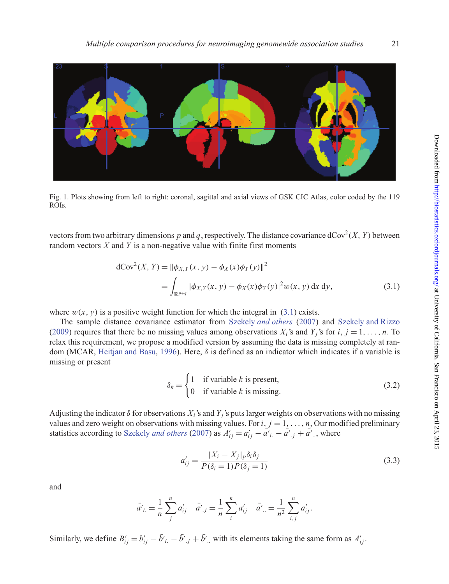

Fig. 1. Plots showing from left to right: coronal, sagittal and axial views of GSK CIC Atlas, color coded by the 119 ROIs.

vectors from two arbitrary dimensions p and q, respectively. The distance covariance  $dCov^2(X, Y)$  between random vectors *X* and *Y* is a non-negative value with finite first moments

<span id="page-4-0"></span>
$$
dCov2(X, Y) = ||\phi_{X,Y}(x, y) - \phi_X(x)\phi_Y(y)||2
$$
  
= 
$$
\int_{\mathbb{R}^{p+q}} |\phi_{X,Y}(x, y) - \phi_X(x)\phi_Y(y)|^2 w(x, y) dx dy,
$$
 (3.1)

where  $w(x, y)$  is a positive weight function for which the integral in [\(3.1\)](#page-4-1) exists.

The sample distance covariance estimator from Szekely *[and others](#page-13-8)* [\(2007\)](#page-13-8) and [Szekely and Rizzo](#page-13-11) [\(2009](#page-13-11)) requires that there be no missing values among observations  $X_i$ 's and  $Y_i$ 's for  $i, j = 1, \ldots, n$ . To relax this requirement, we propose a modified version by assuming the data is missing completely at random (MCAR, [Heitjan and Basu,](#page-12-11) [1996](#page-12-11)). Here, δ is defined as an indicator which indicates if a variable is missing or present

<span id="page-4-1"></span>
$$
\delta_k = \begin{cases} 1 & \text{if variable } k \text{ is present,} \\ 0 & \text{if variable } k \text{ is missing.} \end{cases}
$$
 (3.2)

Adjusting the indicator  $\delta$  for observations  $X_i$ 's and  $Y_i$ 's puts larger weights on observations with no missing values and zero weight on observations with missing values. For  $i, j = 1, \ldots, n$ , Our modified preliminary statistics according to Szekely *[and others](#page-13-8)* [\(2007](#page-13-8)) as  $A'_{ij} = a'_{ij} - \overline{a'}_{i} - \overline{a'}_{j} + \overline{a'}_{j}$ , where

<span id="page-4-2"></span>
$$
a'_{ij} = \frac{|X_i - X_j|_p \delta_i \delta_j}{P(\delta_i = 1)P(\delta_j = 1)}
$$
\n(3.3)

and

$$
\bar{a'}_{i.} = \frac{1}{n} \sum_{j}^{n} a'_{ij} \quad \bar{a'}_{.j} = \frac{1}{n} \sum_{i}^{n} a'_{ij} \quad \bar{a'}_{..} = \frac{1}{n^2} \sum_{i,j}^{n} a'_{ij}.
$$

Similarly, we define  $B'_{ij} = b'_{ij} - \bar{b'}_{i} - \bar{b'}_{.j} + \bar{b'}_{..}$  with its elements taking the same form as  $A'_{ij}$ .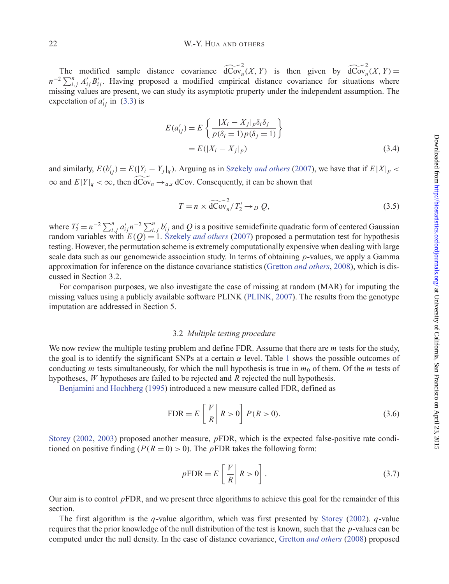The modified sample distance covariance  $\widehat{dCov}_n^2(X, Y)$  is then given by  $\widehat{dCov}_n^2(X, Y) =$  $n^{-2} \sum_{i,j}^{n} A'_{ij} B'_{ij}$ . Having proposed a modified empirical distance covariance for situations where missing values are present, we can study its asymptotic property under the independent assumption. The expectation of  $a'_{ij}$  in [\(3.3\)](#page-4-2) is

$$
E(a'_{ij}) = E\left\{\frac{|X_i - X_j|_p \delta_i \delta_j}{p(\delta_i = 1)p(\delta_j = 1)}\right\}
$$
  
=  $E(|X_i - X_j|_p)$  (3.4)

and similarly,  $E(b'_{ij}) = E(|Y_i - Y_j|_q)$ . Arguing as in Szekely *[and others](#page-13-8)* [\(2007\)](#page-13-8), we have that if  $E|X|_p$  <  $\infty$  and  $E|Y|_q < \infty$ , then  $\widetilde{dCov_n} \rightarrow_{a.s} dCov$ . Consequently, it can be shown that

<span id="page-5-0"></span>
$$
T = n \times \widehat{\mathrm{dCov}}_n^2 / T_2' \to_D Q,\tag{3.5}
$$

where  $T_2' = n^{-2} \sum_{i,j}^n a'_{ij} n^{-2} \sum_{i,j}^n b'_{ij}$  and *Q* is a positive semidefinite quadratic form of centered Gaussian random variables with *E*(*Q*) = 1. Szekely *[and others](#page-13-8)* [\(2007\)](#page-13-8) proposed a permutation test for hypothesis testing. However, the permutation scheme is extremely computationally expensive when dealing with large scale data such as our genomewide association study. In terms of obtaining *p*-values, we apply a Gamma approximation for inference on the distance covariance statistics (Gretton *[and others](#page-12-12)*, [2008](#page-12-12)), which is discussed in Section 3.2.

For comparison purposes, we also investigate the case of missing at random (MAR) for imputing the missing values using a publicly available software PLINK [\(PLINK](#page-13-12), [2007\)](#page-13-12). The results from the genotype imputation are addressed in Section 5.

## 3.2 *Multiple testing procedure*

We now review the multiple testing problem and define FDR. Assume that there are *m* tests for the study, the goal is to identify the significant SNPs at a certain  $\alpha$  level. Table [1](#page-3-0) shows the possible outcomes of conducting *m* tests simultaneously, for which the null hypothesis is true in  $m_0$  of them. Of the *m* tests of hypotheses, *W* hypotheses are failed to be rejected and *R* rejected the null hypothesis.

[Benjamini and Hochberg](#page-12-2) [\(1995\)](#page-12-2) introduced a new measure called FDR, defined as

$$
\text{FDR} = E\left[\frac{V}{R}\middle| R > 0\right] P(R > 0). \tag{3.6}
$$

[Storey](#page-13-3) [\(2002,](#page-13-3) [2003](#page-13-4)) proposed another measure, *p*FDR, which is the expected false-positive rate conditioned on positive finding ( $P(R = 0) > 0$ ). The *pFDR* takes the following form:

$$
pFDR = E\left[\frac{V}{R}\middle| R > 0\right].\tag{3.7}
$$

Our aim is to control *p*FDR, and we present three algorithms to achieve this goal for the remainder of this section.

The first algorithm is the *q*-value algorithm, which was first presented by [Storey](#page-13-3) [\(2002\)](#page-13-3). *q*-value requires that the prior knowledge of the null distribution of the test is known, such that the *p*-values can be computed under the null density. In the case of distance covariance, Gretton *[and others](#page-12-12)* [\(2008](#page-12-12)) proposed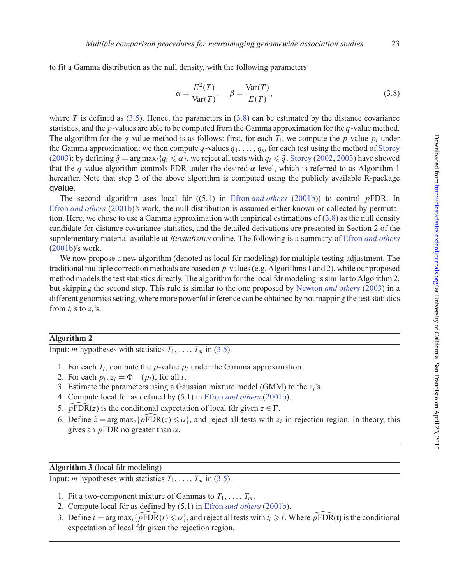to fit a Gamma distribution as the null density, with the following parameters:

<span id="page-6-0"></span>
$$
\alpha = \frac{E^2(T)}{\text{Var}(T)}, \quad \beta = \frac{\text{Var}(T)}{E(T)},
$$
\n(3.8)

where  $T$  is defined as [\(3.5\)](#page-5-0). Hence, the parameters in [\(3.8\)](#page-6-0) can be estimated by the distance covariance statistics, and the *p*-values are able to be computed from the Gamma approximation for the *q*-value method. The algorithm for the *q*-value method is as follows: first, for each  $T_i$ , we compute the *p*-value  $p_i$  under the Gamma approximation; we then compute  $q$ -values  $q_1, \ldots, q_m$  for each test using the method of [Storey](#page-13-4) [\(2003](#page-13-4)); by defining  $\tilde{q} = \arg \max_i \{q_i \leq \alpha\}$ , we reject all tests with  $q_i \leq \tilde{q}$ . [Storey](#page-13-3) [\(2002](#page-13-3), [2003\)](#page-13-4) have showed that the *q*-value algorithm controls FDR under the desired  $\alpha$  level, which is referred to as Algorithm 1 hereafter. Note that step 2 of the above algorithm is computed using the publicly available R-package qvalue.

The second algorithm uses local fdr ((5.1) in Efron *[and others](#page-12-3)* [\(2001b](#page-12-3))) to control *p*FDR. In Efron *[and others](#page-12-3)* [\(2001b](#page-12-3))'s work, the null distribution is assumed either known or collected by permutation. Here, we chose to use a Gamma approximation with empirical estimations of  $(3.8)$  as the null density candidate for distance covariance statistics, and the detailed derivations are presented in Section 2 of the supplementary material available at *Biostatistics* online. The following is a summary of Efron *[and others](#page-12-3)* [\(2001b](#page-12-3))'s work.

We now propose a new algorithm (denoted as local fdr modeling) for multiple testing adjustment. The traditional multiple correction methods are based on *p*-values (e.g. Algorithms 1 and 2), while our proposed method models the test statistics directly. The algorithm for the local fdr modeling is similar to Algorithm 2, but skipping the second step. This rule is similar to the one proposed by Newton *[and others](#page-13-5)* [\(2003](#page-13-5)) in a different genomics setting, where more powerful inference can be obtained by not mapping the test statistics from  $t_i$ 's to  $z_i$ 's.

# **Algorithm 2**

Input:  $\overline{m}$  hypotheses with statistics  $T_1, \ldots, T_m$  in [\(3.5\)](#page-5-0).

- 1. For each  $T_i$ , compute the  $p$ -value  $p_i$  under the Gamma approximation.
- 2. For each  $p_i$ ,  $z_i = \Phi^{-1}(p_i)$ , for all *i*.
- 3. Estimate the parameters using a Gaussian mixture model (GMM) to the *zi*'s.
- 4. Compute local fdr as defined by (5.1) in Efron *[and others](#page-12-3)* [\(2001b](#page-12-3)).
- 5.  $\widehat{pFDR}(z)$  is the conditional expectation of local fdr given  $z \in \Gamma$ .
- 6. Define  $\tilde{z} = \arg \max_{z} {\widehat{pFDR(z)} \leq \alpha}$ , and reject all tests with  $z_i$  in rejection region. In theory, this gives an *pFDR* no greater than  $\alpha$ .

# **Algorithm 3** (local fdr modeling)

Input: *m* hypotheses with statistics  $T_1, \ldots, T_m$  in [\(3.5\)](#page-5-0).

- 1. Fit a two-component mixture of Gammas to  $T_1, \ldots, T_m$ .
- 2. Compute local fdr as defined by (5.1) in Efron *[and others](#page-12-3)* [\(2001b](#page-12-3)).
- 3. Define  $\tilde{t} = \arg \max_t \{ \widehat{pFDR}(t) \leq \alpha \}$ , and reject all tests with  $t_i \geq \tilde{t}$ . Where  $\widehat{pFDR}(t)$  is the conditional expectation of local fdr given the rejection region.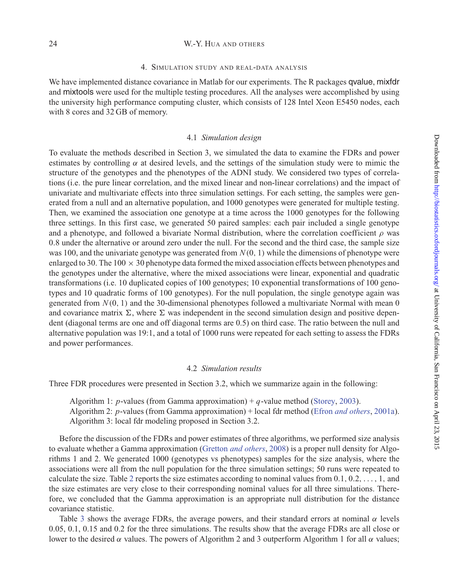## 24 W.-Y. HUA AND OTHERS

# 4. SIMULATION STUDY AND REAL-DATA ANALYSIS

We have implemented distance covariance in Matlab for our experiments. The R packages qvalue, mixfdr and mixtools were used for the multiple testing procedures. All the analyses were accomplished by using the university high performance computing cluster, which consists of 128 Intel Xeon E5450 nodes, each with 8 cores and 32 GB of memory.

# 4.1 *Simulation design*

To evaluate the methods described in Section 3, we simulated the data to examine the FDRs and power estimates by controlling  $\alpha$  at desired levels, and the settings of the simulation study were to mimic the structure of the genotypes and the phenotypes of the ADNI study. We considered two types of correlations (i.e. the pure linear correlation, and the mixed linear and non-linear correlations) and the impact of univariate and multivariate effects into three simulation settings. For each setting, the samples were generated from a null and an alternative population, and 1000 genotypes were generated for multiple testing. Then, we examined the association one genotype at a time across the 1000 genotypes for the following three settings. In this first case, we generated 50 paired samples: each pair included a single genotype and a phenotype, and followed a bivariate Normal distribution, where the correlation coefficient  $\rho$  was 0.8 under the alternative or around zero under the null. For the second and the third case, the sample size was 100, and the univariate genotype was generated from  $N(0, 1)$  while the dimensions of phenotype were enlarged to 30. The  $100 \times 30$  phenotype data formed the mixed association effects between phenotypes and the genotypes under the alternative, where the mixed associations were linear, exponential and quadratic transformations (i.e. 10 duplicated copies of 100 genotypes; 10 exponential transformations of 100 genotypes and 10 quadratic forms of 100 genotypes). For the null population, the single genotype again was generated from *N*(0, 1) and the 30-dimensional phenotypes followed a multivariate Normal with mean 0 and covariance matrix  $\Sigma$ , where  $\Sigma$  was independent in the second simulation design and positive dependent (diagonal terms are one and off diagonal terms are 0.5) on third case. The ratio between the null and alternative population was 19:1, and a total of 1000 runs were repeated for each setting to assess the FDRs and power performances.

# 4.2 *Simulation results*

Three FDR procedures were presented in Section 3.2, which we summarize again in the following:

Algorithm 1: *p*-values (from Gamma approximation) + *q*-value method [\(Storey](#page-13-4), [2003](#page-13-4)). Algorithm 2: *p*-values (from Gamma approximation) + local fdr method (Efron *[and others](#page-12-4)*, [2001a](#page-12-4)). Algorithm 3: local fdr modeling proposed in Section 3.2.

Before the discussion of the FDRs and power estimates of three algorithms, we performed size analysis to evaluate whether a Gamma approximation (Gretton *[and others](#page-12-12)*, [2008](#page-12-12)) is a proper null density for Algorithms 1 and 2. We generated 1000 (genotypes vs phenotypes) samples for the size analysis, where the associations were all from the null population for the three simulation settings; 50 runs were repeated to calculate the size. Table [2](#page-8-0) reports the size estimates according to nominal values from  $0.1, 0.2, \ldots, 1$ , and the size estimates are very close to their corresponding nominal values for all three simulations. Therefore, we concluded that the Gamma approximation is an appropriate null distribution for the distance covariance statistic.

Table [3](#page-9-0) shows the average FDRs, the average powers, and their standard errors at nominal  $\alpha$  levels 0.05, 0.1, 0.15 and 0.2 for the three simulations. The results show that the average FDRs are all close or lower to the desired α values. The powers of Algorithm 2 and 3 outperform Algorithm 1 for all α values;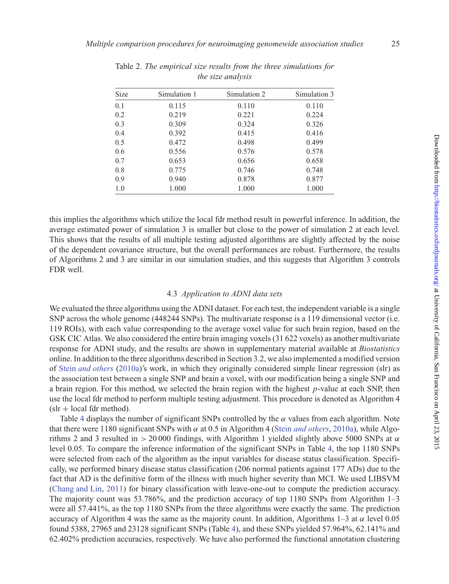| <b>Size</b> | Simulation 1 | Simulation 2 | Simulation 3 |
|-------------|--------------|--------------|--------------|
| 0.1         | 0.115        | 0.110        | 0.110        |
| 0.2         | 0.219        | 0.221        | 0.224        |
| 0.3         | 0.309        | 0.324        | 0.326        |
| 0.4         | 0.392        | 0.415        | 0.416        |
| 0.5         | 0.472        | 0.498        | 0.499        |
| 0.6         | 0.556        | 0.576        | 0.578        |
| 0.7         | 0.653        | 0.656        | 0.658        |
| 0.8         | 0.775        | 0.746        | 0.748        |
| 0.9         | 0.940        | 0.878        | 0.877        |
| 1.0         | 1.000        | 1.000        | 1.000        |

<span id="page-8-0"></span>Table 2. *The empirical size results from the three simulations for the size analysis*

this implies the algorithms which utilize the local fdr method result in powerful inference. In addition, the average estimated power of simulation 3 is smaller but close to the power of simulation 2 at each level. This shows that the results of all multiple testing adjusted algorithms are slightly affected by the noise of the dependent covariance structure, but the overall performances are robust. Furthermore, the results of Algorithms 2 and 3 are similar in our simulation studies, and this suggests that Algorithm 3 controls FDR well.

# 4.3 *Application to ADNI data sets*

We evaluated the three algorithms using the ADNI dataset. For each test, the independent variable is a single SNP across the whole genome (448244 SNPs). The multivariate response is a 119 dimensional vector (i.e. 119 ROIs), with each value corresponding to the average voxel value for such brain region, based on the GSK CIC Atlas. We also considered the entire brain imaging voxels (31 622 voxels) as another multivariate response for ADNI study, and the results are shown in supplementary material available at *Biostatistics* online. In addition to the three algorithms described in Section 3.2, we also implemented a modified version of Stein *[and others](#page-13-1)* [\(2010a](#page-13-1))'s work, in which they originally considered simple linear regression (slr) as the association test between a single SNP and brain a voxel, with our modification being a single SNP and a brain region. For this method, we selected the brain region with the highest *p*-value at each SNP, then use the local fdr method to perform multiple testing adjustment. This procedure is denoted as Algorithm 4  $(slr + local fdr method).$ 

Table [4](#page-10-0) displays the number of significant SNPs controlled by the  $\alpha$  values from each algorithm. Note that there were 1180 significant SNPs with α at 0.5 in Algorithm 4 (Stein *[and others](#page-13-1)*, [2010a\)](#page-13-1), while Algorithms 2 and 3 resulted in  $> 20000$  findings, with Algorithm 1 yielded slightly above 5000 SNPs at  $\alpha$ level 0.05. To compare the inference information of the significant SNPs in Table [4,](#page-10-0) the top 1180 SNPs were selected from each of the algorithm as the input variables for disease status classification. Specifically, we performed binary disease status classification (206 normal patients against 177 ADs) due to the fact that AD is the definitive form of the illness with much higher severity than MCI. We used LIBSVM [\(Chang and Lin](#page-12-13), [2011](#page-12-13)) for binary classification with leave-one-out to compute the prediction accuracy. The majority count was 53.786%, and the prediction accuracy of top 1180 SNPs from Algorithm 1–3 were all 57.441%, as the top 1180 SNPs from the three algorithms were exactly the same. The prediction accuracy of Algorithm 4 was the same as the majority count. In addition, Algorithms 1–3 at  $\alpha$  level 0.05 found 5388, 27965 and 23128 significant SNPs (Table [4\)](#page-10-0), and these SNPs yielded 57.964%, 62.141% and 62.402% prediction accuracies, respectively. We have also performed the functional annotation clustering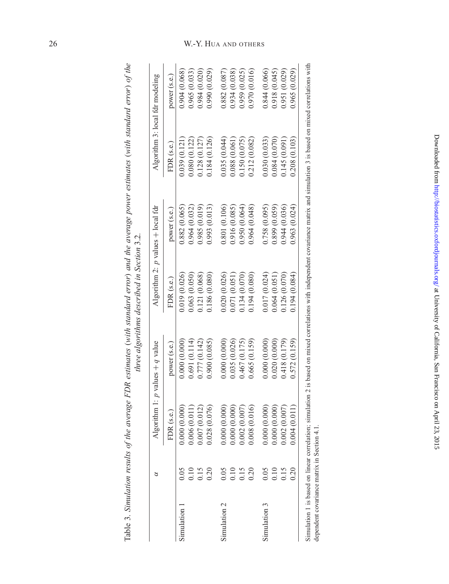|              | ਠ                                           |               | Algorithm 1: p values + q value |               | Algorithm 2: $p$ values $+$ local fdr |               | Algorithm 3: local fdr modeling |
|--------------|---------------------------------------------|---------------|---------------------------------|---------------|---------------------------------------|---------------|---------------------------------|
|              |                                             | FDR (s.e.)    | power (s.e.)                    | FDR (s.e.)    | power (s.e.)                          | FDR (s.e.)    | power (s.e.)                    |
| Simulation   | 0.05                                        | 0.000(0.000)  | 0.000(0.0000)                   | 0.019(0.026)  | 0.882(0.065)                          | 0.039(0.121)  | 0.904 (0.068)                   |
|              |                                             | 0.006(0.011)  | 0.691(0.114)                    | 0.063(0.050)  | 0.964(0.032)                          | 0.080(0.122)  | 0.965(0.033)                    |
|              | $\begin{array}{c} 0.10 \\ 0.15 \end{array}$ | 0.007(0.012)  | 0.777(0.142)                    | 0.121 (0.068) | 0.985(0.019)                          | 0.128(0.127)  | 0.984 (0.020)                   |
|              | 0.20                                        | 0.028 (0.076) | 0.900(0.085)                    | 0.186(0.080)  | 0.993(0.013)                          | 0.184 (0.126) | 0.990 (0.029)                   |
| Simulation 2 |                                             | 0.000(0.000)  | 0.000(0.0000)                   | 0.020(0.026)  | 0.801 (0.106)                         | 0.035(0.044)  | 0.882 (0.087)                   |
|              |                                             | 0.000(0.000)  | 0.035 (0.026)                   | 0.071(0.051)  | 0.916(0.085)                          | 0.088(0.061)  | 0.934 (0.038)                   |
|              | $0.05$<br>$0.15$<br>$0.15$<br>$0.20$        | 0.002(0.007)  | 0.467 (0.175)                   | 0.134(0.070)  | 0.950(0.064)                          | 0.150(0.075)  | 0.959 (0.025)                   |
|              |                                             | 0.008(0.016)  | 0.665(0.159)                    | 0.194(0.080)  | 0.964 (0.048)                         | 0.212(0.082)  | 0.970(0.016)                    |
| Simulation 3 | 0.05                                        | 0.000(0.000)  | 0.000(0.0000)                   | 0.017(0.024)  | 0.758 (0.095)                         | 0.030(0.033)  | 0.844 (0.066)                   |
|              | 0.10                                        | 0.000(0.000)  | 0.020(0.000)                    | 0.064(0.051)  | 0.899(0.059)                          | 0.084(0.070)  | 0.918(0.045)                    |
|              | 0.15                                        | 0.002(0.007)  | 0.418(0.179)                    | 0.126(0.070)  | 0.944 (0.036)                         | 0.145(0.091)  | 0.951(0.029)                    |
|              | 0.20                                        | 004(0.011)    | 0.572(0.159)                    | 0.194(0.084)  | 0.963(0.024)                          | 0.208(0.103)  | 0.965(0.029)                    |

<span id="page-9-0"></span>

Simulation 1 is based on linear correlation; simulation 2 is based on mixed correlations with independent covariance matrix and simulation 3 is based on mixed correlations with Simulation 1 is based on linear correlation;<br>dependent covariance matrix in Section 4.1. dependent covariance matrix in Section 4.1.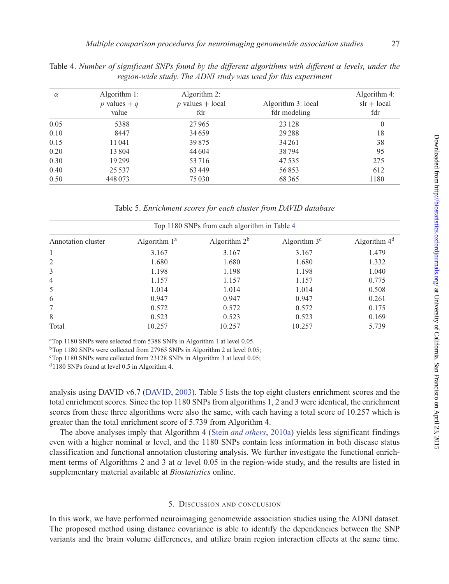| $\alpha$ | Algorithm 1: | Algorithm 2:     |                    | Algorithm 4:  |
|----------|--------------|------------------|--------------------|---------------|
|          | p values + q | p values + local | Algorithm 3: local | $slr + local$ |
|          | value        | fdr              | fdr modeling       | fdr           |
| 0.05     | 5388         | 27965            | 23 1 28            | 0             |
| 0.10     | 8447         | 34659            | 29 2 8 8           | 18            |
| 0.15     | 11041        | 39875            | 34 26 1            | 38            |
| 0.20     | 13 804       | 44 604           | 38794              | 95            |
| 0.30     | 19299        | 53716            | 47535              | 275           |
| 0.40     | 25 5 37      | 63449            | 56853              | 612           |
| 0.50     | 448073       | 75 0 30          | 68365              | 1180          |

<span id="page-10-0"></span>Table 4. *Number of significant SNPs found by the different algorithms with different* α *levels, under the region-wide study. The ADNI study was used for this experiment*

Table 5. *Enrichment scores for each cluster from DAVID database*

<span id="page-10-1"></span>

| Top 1180 SNPs from each algorithm in Table 4 |                |                 |                |                |  |
|----------------------------------------------|----------------|-----------------|----------------|----------------|--|
| Annotation cluster                           | Algorithm $1a$ | Algorithm $2^b$ | Algorithm $3c$ | Algorithm $4d$ |  |
|                                              | 3.167          | 3.167           | 3.167          | 1.479          |  |
| 2                                            | 1.680          | 1.680           | 1.680          | 1.332          |  |
| 3                                            | 1.198          | 1.198           | 1.198          | 1.040          |  |
| $\overline{4}$                               | 1.157          | 1.157           | 1.157          | 0.775          |  |
| 5                                            | 1.014          | 1.014           | 1.014          | 0.508          |  |
| 6                                            | 0.947          | 0.947           | 0.947          | 0.261          |  |
| 7                                            | 0.572          | 0.572           | 0.572          | 0.175          |  |
| 8                                            | 0.523          | 0.523           | 0.523          | 0.169          |  |
| Total                                        | 10.257         | 10.257          | 10.257         | 5.739          |  |

aTop 1180 SNPs were selected from 5388 SNPs in Algorithm 1 at level 0.05.

bTop 1180 SNPs were collected from 27965 SNPs in Algorithm 2 at level 0.05;

<sup>c</sup>Top 1180 SNPs were collected from 23128 SNPs in Algorithm 3 at level 0.05;

<sup>d</sup>1180 SNPs found at level 0.5 in Algorithm 4.

analysis using DAVID v6.7 [\(DAVID](#page-12-14), [2003](#page-12-14)). Table [5](#page-10-1) lists the top eight clusters enrichment scores and the total enrichment scores. Since the top 1180 SNPs from algorithms 1, 2 and 3 were identical, the enrichment scores from these three algorithms were also the same, with each having a total score of 10.257 which is greater than the total enrichment score of 5.739 from Algorithm 4.

The above analyses imply that Algorithm 4 (Stein *[and others](#page-13-1)*, [2010a](#page-13-1)) yields less significant findings even with a higher nominal α level, and the 1180 SNPs contain less information in both disease status classification and functional annotation clustering analysis. We further investigate the functional enrichment terms of Algorithms 2 and 3 at  $\alpha$  level 0.05 in the region-wide study, and the results are listed in supplementary material available at *Biostatistics* online.

#### 5. DISCUSSION AND CONCLUSION

In this work, we have performed neuroimaging genomewide association studies using the ADNI dataset. The proposed method using distance covariance is able to identify the dependencies between the SNP variants and the brain volume differences, and utilize brain region interaction effects at the same time.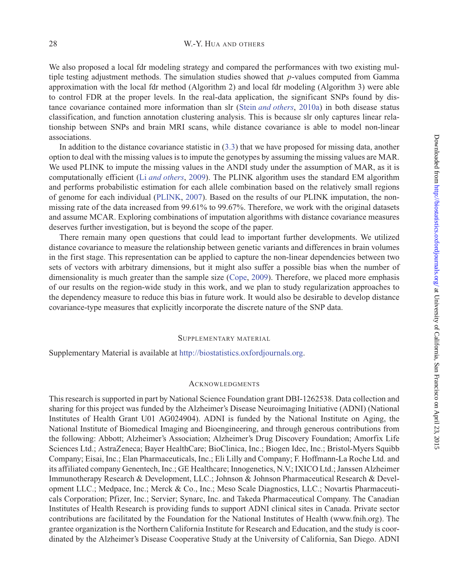#### 28 W.-Y. HUA AND OTHERS

We also proposed a local fdr modeling strategy and compared the performances with two existing multiple testing adjustment methods. The simulation studies showed that *p*-values computed from Gamma approximation with the local fdr method (Algorithm 2) and local fdr modeling (Algorithm 3) were able to control FDR at the proper levels. In the real-data application, the significant SNPs found by distance covariance contained more information than slr (Stein *[and others](#page-13-1)*, [2010a](#page-13-1)) in both disease status classification, and function annotation clustering analysis. This is because slr only captures linear relationship between SNPs and brain MRI scans, while distance covariance is able to model non-linear associations.

In addition to the distance covariance statistic in [\(3.3\)](#page-4-2) that we have proposed for missing data, another option to deal with the missing values is to impute the genotypes by assuming the missing values are MAR. We used PLINK to impute the missing values in the ANDI study under the assumption of MAR, as it is computationally efficient (Li *[and others](#page-12-15)*, [2009](#page-12-15)). The PLINK algorithm uses the standard EM algorithm and performs probabilistic estimation for each allele combination based on the relatively small regions of genome for each individual [\(PLINK](#page-13-12), [2007](#page-13-12)). Based on the results of our PLINK imputation, the nonmissing rate of the data increased from 99.61% to 99.67%. Therefore, we work with the original datasets and assume MCAR. Exploring combinations of imputation algorithms with distance covariance measures deserves further investigation, but is beyond the scope of the paper.

There remain many open questions that could lead to important further developments. We utilized distance covariance to measure the relationship between genetic variants and differences in brain volumes in the first stage. This representation can be applied to capture the non-linear dependencies between two sets of vectors with arbitrary dimensions, but it might also suffer a possible bias when the number of dimensionality is much greater than the sample size [\(Cope,](#page-12-16) [2009](#page-12-16)). Therefore, we placed more emphasis of our results on the region-wide study in this work, and we plan to study regularization approaches to the dependency measure to reduce this bias in future work. It would also be desirable to develop distance covariance-type measures that explicitly incorporate the discrete nature of the SNP data.

# SUPPLEMENTARY MATERIAL

Supplementary Material is available at [http://biostatistics.oxfordjournals.org.](http://biostatistics.oxfordjournals.org/lookup/suppl/doi:10.1093/biostatistics/kxu026/-/DC1)

#### **ACKNOWLEDGMENTS**

This research is supported in part by National Science Foundation grant DBI-1262538. Data collection and sharing for this project was funded by the Alzheimer's Disease Neuroimaging Initiative (ADNI) (National Institutes of Health Grant U01 AG024904). ADNI is funded by the National Institute on Aging, the National Institute of Biomedical Imaging and Bioengineering, and through generous contributions from the following: Abbott; Alzheimer's Association; Alzheimer's Drug Discovery Foundation; Amorfix Life Sciences Ltd.; AstraZeneca; Bayer HealthCare; BioClinica, Inc.; Biogen Idec, Inc.; Bristol-Myers Squibb Company; Eisai, Inc.; Elan Pharmaceuticals, Inc.; Eli Lilly and Company; F. Hoffmann-La Roche Ltd. and its affiliated company Genentech, Inc.; GE Healthcare; Innogenetics, N.V.; IXICO Ltd.; Janssen Alzheimer Immunotherapy Research & Development, LLC.; Johnson & Johnson Pharmaceutical Research & Development LLC.; Medpace, Inc.; Merck & Co., Inc.; Meso Scale Diagnostics, LLC.; Novartis Pharmaceuticals Corporation; Pfizer, Inc.; Servier; Synarc, Inc. and Takeda Pharmaceutical Company. The Canadian Institutes of Health Research is providing funds to support ADNI clinical sites in Canada. Private sector contributions are facilitated by the Foundation for the National Institutes of Health (www.fnih.org). The grantee organization is the Northern California Institute for Research and Education, and the study is coordinated by the Alzheimer's Disease Cooperative Study at the University of California, San Diego. ADNI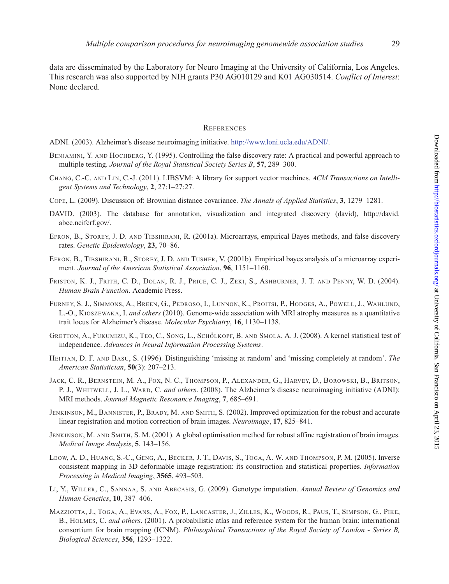data are disseminated by the Laboratory for Neuro Imaging at the University of California, Los Angeles. This research was also supported by NIH grants P30 AG010129 and K01 AG030514. *Conflict of Interest*: None declared.

#### **REFERENCES**

<span id="page-12-1"></span>ADNI. (2003). Alzheimer's disease neuroimaging initiative. [http://www.loni.ucla.edu/ADNI/.](http://www.loni.ucla.edu/ADNI/)

- <span id="page-12-2"></span>BENJAMINI, Y. AND HOCHBERG, Y. (1995). Controlling the false discovery rate: A practical and powerful approach to multiple testing. *Journal of the Royal Statistical Society Series B*, **57**, 289–300.
- <span id="page-12-13"></span>CHANG, C.-C. AND LIN, C.-J. (2011). LIBSVM: A library for support vector machines. *ACM Transactions on Intelligent Systems and Technology*, **2**, 27:1–27:27.
- <span id="page-12-16"></span>COPE, L. (2009). Discussion of: Brownian distance covariance. *The Annals of Applied Statistics*, **3**, 1279–1281.
- <span id="page-12-14"></span>DAVID. (2003). The database for annotation, visualization and integrated discovery (david), http://david. abcc.ncifcrf.gov/.
- <span id="page-12-4"></span>EFRON, B., STOREY, J. D. AND TIBSHIRANI, R. (2001a). Microarrays, empirical Bayes methods, and false discovery rates. *Genetic Epidemiology*, **23**, 70–86.
- <span id="page-12-3"></span>EFRON, B., TIBSHIRANI, R., STOREY, J. D. AND TUSHER, V. (2001b). Empirical bayes analysis of a microarray experiment. *Journal of the American Statistical Association*, **96**, 1151–1160.
- <span id="page-12-5"></span>FRISTON, K. J., FRITH, C. D., DOLAN, R. J., PRICE, C. J., ZEKI, S., ASHBURNER, J. T. AND PENNY, W. D. (2004). *Human Brain Function*. Academic Press.
- <span id="page-12-0"></span>FURNEY, S. J., SIMMONS, A., BREEN, G., PEDROSO, I., LUNNON, K., PROITSI, P., HODGES, A., POWELL, J., WAHLUND, L.-O., KIOSZEWAKA, I. *and others* (2010). Genome-wide association with MRI atrophy measures as a quantitative trait locus for Alzheimer's disease. *Molecular Psychiatry*, **16**, 1130–1138.
- <span id="page-12-12"></span>GRETTON, A., FUKUMIZU, K., TEO, C., SONG, L., SCHÖLKOPF, B. AND SMOLA, A. J. (2008). A kernel statistical test of independence. *Advances in Neural Information Processing Systems*.
- <span id="page-12-11"></span>HEITJAN, D. F. AND BASU, S. (1996). Distinguishing 'missing at random' and 'missing completely at random'. *The American Statistician*, **50**(3): 207–213.
- <span id="page-12-6"></span>JACK, C. R., BERNSTEIN, M. A., FOX, N. C., THOMPSON, P., ALEXANDER, G., HARVEY, D., BOROWSKI, B., BRITSON, P. J., WHITWELL, J. L., WARD, C. *and others*. (2008). The Alzheimer's disease neuroimaging initiative (ADNI): MRI methods. *Journal Magnetic Resonance Imaging*, **7**, 685–691.
- <span id="page-12-10"></span>JENKINSON, M., BANNISTER, P., BRADY, M. AND SMITH, S. (2002). Improved optimization for the robust and accurate linear registration and motion correction of brain images. *Neuroimage*, **17**, 825–841.
- <span id="page-12-9"></span>JENKINSON, M. AND SMITH, S. M. (2001). A global optimisation method for robust affine registration of brain images. *Medical Image Analysis*, **5**, 143–156.
- <span id="page-12-8"></span>LEOW, A. D., HUANG, S.-C., GENG, A., BECKER, J. T., DAVIS, S., TOGA, A. W. AND THOMPSON, P. M. (2005). Inverse consistent mapping in 3D deformable image registration: its construction and statistical properties. *Information Processing in Medical Imaging*, **3565**, 493–503.
- <span id="page-12-15"></span>LI, Y., WILLER, C., SANNAA, S. AND ABECASIS, G. (2009). Genotype imputation. *Annual Review of Genomics and Human Genetics*, **10**, 387–406.
- <span id="page-12-7"></span>MAZZIOTTA, J., TOGA, A., EVANS, A., FOX, P., LANCASTER, J., ZILLES, K., WOODS, R., PAUS, T., SIMPSON, G., PIKE, B., HOLMES, C. *and others*. (2001). A probabilistic atlas and reference system for the human brain: international consortium for brain mapping (ICNM). *Philosophical Transactions of the Royal Society of London - Series B, Biological Sciences*, **356**, 1293–1322.